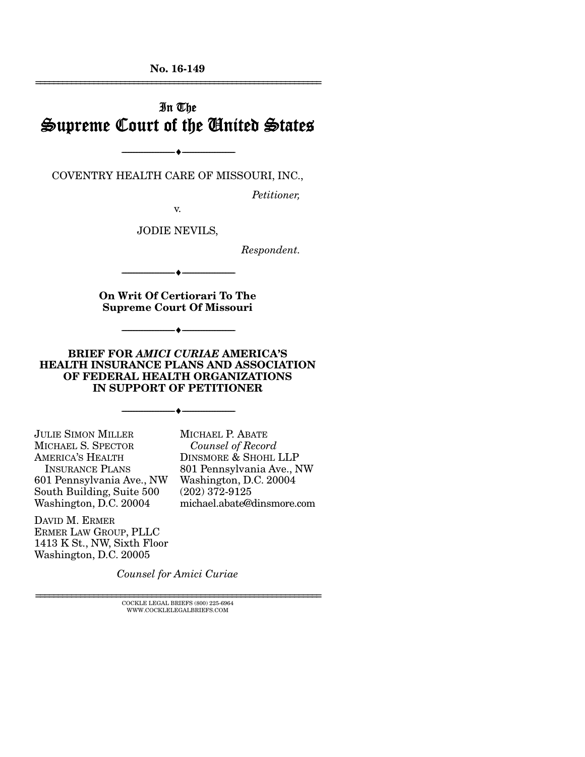No. 16-149 ================================================================

### In The Supreme Court of the United States

COVENTRY HEALTH CARE OF MISSOURI, INC.,

--------------------------------- ---------------------------------

*Petitioner,* 

v.

JODIE NEVILS,

*Respondent.* 

--------------------------------- ---------------------------------

On Writ Of Certiorari To The Supreme Court Of Missouri

--------------------------------- ---------------------------------

BRIEF FOR *AMICI CURIAE* AMERICA'S HEALTH INSURANCE PLANS AND ASSOCIATION OF FEDERAL HEALTH ORGANIZATIONS IN SUPPORT OF PETITIONER

--------------------------------- ---------------------------------

JULIE SIMON MILLER MICHAEL S. SPECTOR AMERICA'S HEALTH INSURANCE PLANS 601 Pennsylvania Ave., NW South Building, Suite 500 Washington, D.C. 20004

DAVID M. ERMER ERMER LAW GROUP, PLLC 1413 K St., NW, Sixth Floor Washington, D.C. 20005

*Counsel of Record* DINSMORE & SHOHL LLP 801 Pennsylvania Ave., NW Washington, D.C. 20004 (202) 372-9125 michael.abate@dinsmore.com

MICHAEL P. ABATE

*Counsel for Amici Curiae* 

 ${\rm COCKLE}$ LEGAL BRIEFS (800) 225-6964 WWW.COCKLELEGALBRIEFS.COM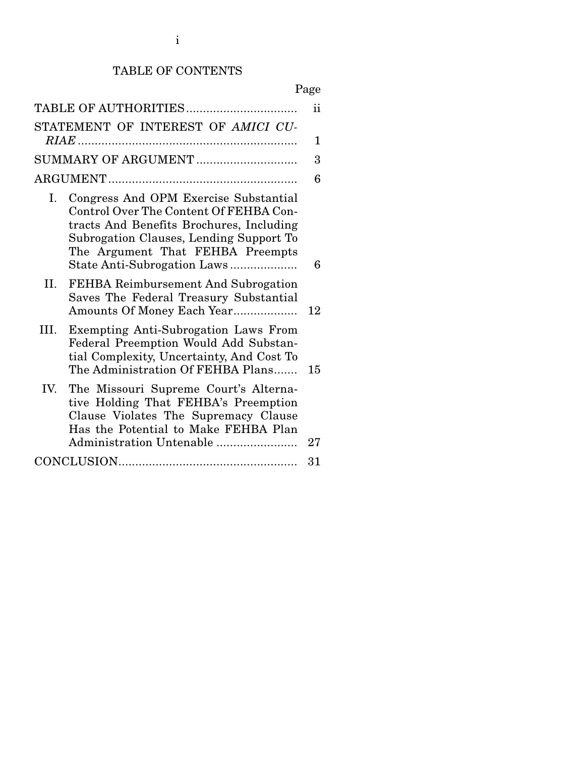# TABLE OF CONTENTS

# Page

|                     | TABLE OF AUTHORITIES                                                                                                                                                                                                                      | ii |
|---------------------|-------------------------------------------------------------------------------------------------------------------------------------------------------------------------------------------------------------------------------------------|----|
|                     | STATEMENT OF INTEREST OF AMICI CU-                                                                                                                                                                                                        |    |
|                     |                                                                                                                                                                                                                                           | 1  |
| SUMMARY OF ARGUMENT |                                                                                                                                                                                                                                           | 3  |
|                     |                                                                                                                                                                                                                                           | 6  |
| Ι.                  | Congress And OPM Exercise Substantial<br>Control Over The Content Of FEHBA Con-<br>tracts And Benefits Brochures, Including<br>Subrogation Clauses, Lending Support To<br>The Argument That FEHBA Preempts<br>State Anti-Subrogation Laws | 6  |
| II.                 | FEHBA Reimbursement And Subrogation<br>Saves The Federal Treasury Substantial<br>Amounts Of Money Each Year                                                                                                                               | 12 |
| III.                | Exempting Anti-Subrogation Laws From<br>Federal Preemption Would Add Substan-<br>tial Complexity, Uncertainty, And Cost To<br>The Administration Of FEHBA Plans                                                                           | 15 |
| IV.                 | The Missouri Supreme Court's Alterna-<br>tive Holding That FEHBA's Preemption<br>Clause Violates The Supremacy Clause<br>Has the Potential to Make FEHBA Plan<br>Administration Untenable                                                 | 27 |
|                     |                                                                                                                                                                                                                                           | 31 |
|                     |                                                                                                                                                                                                                                           |    |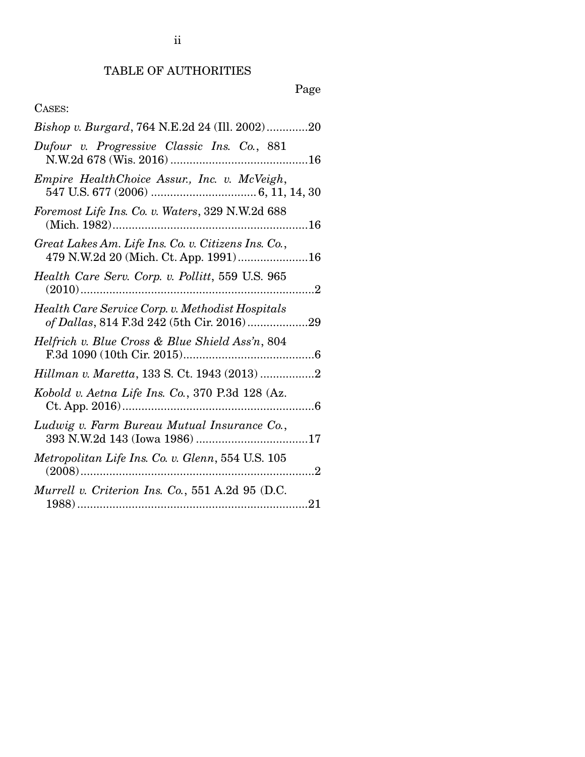ii

# Page

### CASES:

| Bishop v. Burgard, 764 N.E.2d 24 (Ill. 2002)20                                                   |
|--------------------------------------------------------------------------------------------------|
| Dufour v. Progressive Classic Ins. Co., 881                                                      |
| Empire HealthChoice Assur., Inc. v. McVeigh,                                                     |
| Foremost Life Ins. Co. v. Waters, 329 N.W.2d 688                                                 |
| Great Lakes Am. Life Ins. Co. v. Citizens Ins. Co.,<br>479 N.W.2d 20 (Mich. Ct. App. 1991)<br>16 |
| Health Care Serv. Corp. v. Pollitt, 559 U.S. 965<br>$(2010)$                                     |
| Health Care Service Corp. v. Methodist Hospitals<br>of Dallas, 814 F.3d 242 (5th Cir. 2016)29    |
| Helfrich v. Blue Cross & Blue Shield Ass'n, 804                                                  |
| Hillman v. Maretta, 133 S. Ct. 1943 (2013) 2                                                     |
| Kobold v. Aetna Life Ins. Co., 370 P.3d 128 (Az.                                                 |
| Ludwig v. Farm Bureau Mutual Insurance Co.,                                                      |
| Metropolitan Life Ins. Co. v. Glenn, 554 U.S. 105                                                |
| Murrell v. Criterion Ins. Co., 551 A.2d 95 (D.C.                                                 |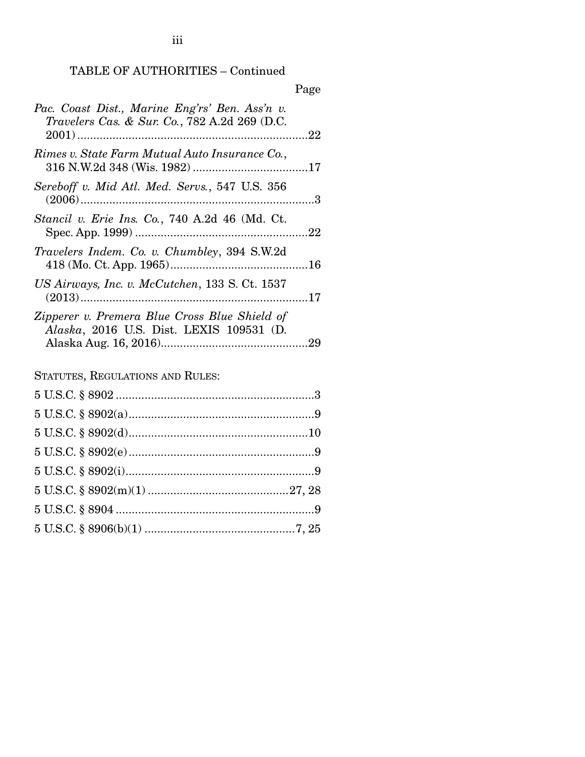TABLE OF AUTHORITIES – Continued

|                                                                                                   | Page |
|---------------------------------------------------------------------------------------------------|------|
| Pac. Coast Dist., Marine Eng'rs' Ben. Ass'n v.<br>Travelers Cas. & Sur. Co., 782 A.2d 269 (D.C.   |      |
| Rimes v. State Farm Mutual Auto Insurance Co. ,                                                   |      |
| Sereboff v. Mid Atl. Med. Servs., 547 U.S. 356                                                    |      |
| Stancil v. Erie Ins. Co., 740 A.2d 46 (Md. Ct.                                                    |      |
| Travelers Indem. Co. v. Chumbley, 394 S.W.2d                                                      |      |
| US Airways, Inc. v. McCutchen, 133 S. Ct. 1537                                                    |      |
| Zipperer v. Premera Blue Cross Blue Shield of<br><i>Alaska</i> , 2016 U.S. Dist. LEXIS 109531 (D. |      |

STATUTES, REGULATIONS AND RULES:

iii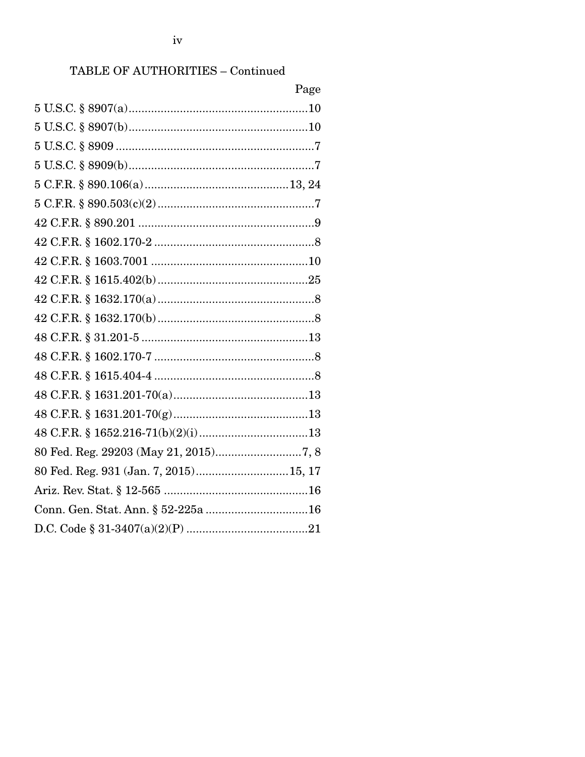### TABLE OF AUTHORITIES - Continued

|                                        | Page |
|----------------------------------------|------|
|                                        |      |
|                                        |      |
|                                        |      |
|                                        |      |
|                                        |      |
|                                        |      |
|                                        |      |
|                                        |      |
|                                        |      |
|                                        |      |
|                                        |      |
|                                        |      |
|                                        |      |
|                                        |      |
|                                        |      |
|                                        |      |
|                                        |      |
|                                        |      |
|                                        |      |
| 80 Fed. Reg. 931 (Jan. 7, 2015) 15, 17 |      |
|                                        |      |
|                                        |      |
|                                        |      |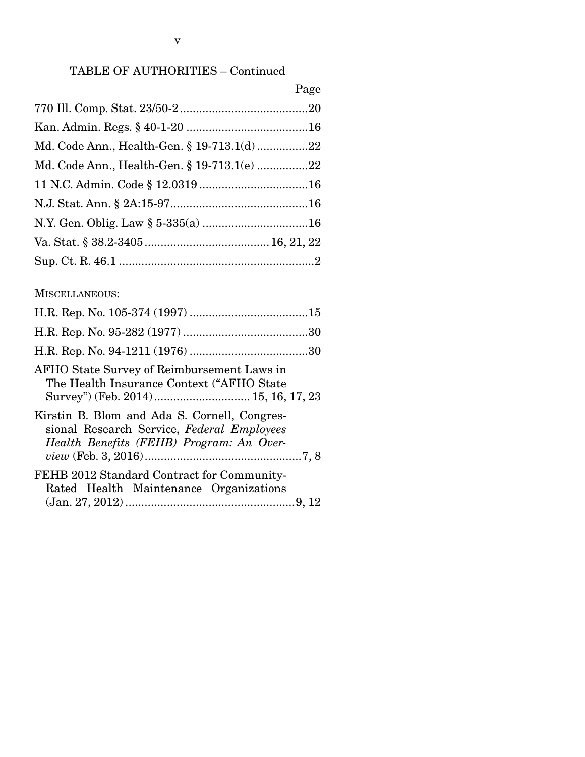### TABLE OF AUTHORITIES – Continued

|                                             | Page |
|---------------------------------------------|------|
|                                             |      |
|                                             |      |
| Md. Code Ann., Health-Gen. § 19-713.1(d)22  |      |
| Md. Code Ann., Health-Gen. § 19-713.1(e) 22 |      |
|                                             |      |
|                                             |      |
|                                             |      |
|                                             |      |
|                                             |      |

### MISCELLANEOUS:

| AFHO State Survey of Reimbursement Laws in<br>The Health Insurance Context ("AFHO State"<br>Survey") (Feb. 2014) 15, 16, 17, 23        |
|----------------------------------------------------------------------------------------------------------------------------------------|
| Kirstin B. Blom and Ada S. Cornell, Congres-<br>sional Research Service, Federal Employees<br>Health Benefits (FEHB) Program: An Over- |
| FEHB 2012 Standard Contract for Community-<br>Rated Health Maintenance Organizations                                                   |
|                                                                                                                                        |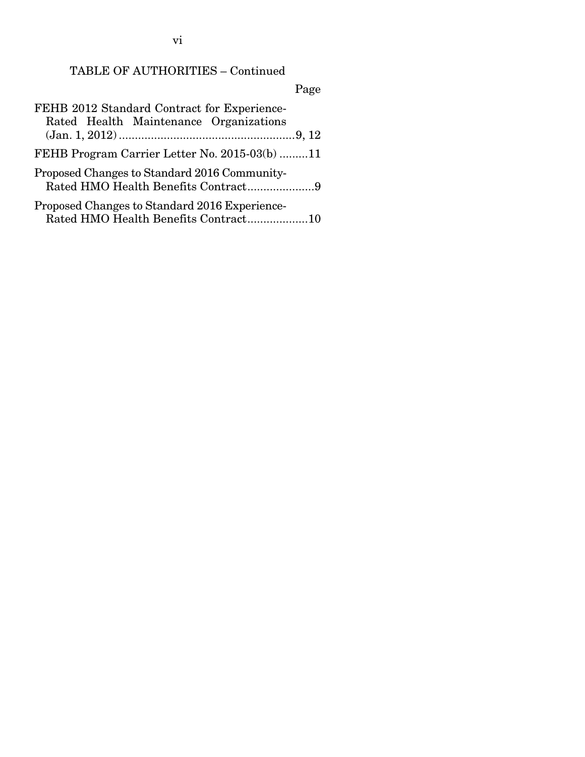vi

# TABLE OF AUTHORITIES – Continued

# Page

| FEHB 2012 Standard Contract for Experience-<br>Rated Health Maintenance Organizations |  |
|---------------------------------------------------------------------------------------|--|
|                                                                                       |  |
| FEHB Program Carrier Letter No. 2015-03(b) 11                                         |  |
| Proposed Changes to Standard 2016 Community-<br>Rated HMO Health Benefits Contract9   |  |
| Proposed Changes to Standard 2016 Experience-<br>Rated HMO Health Benefits Contract10 |  |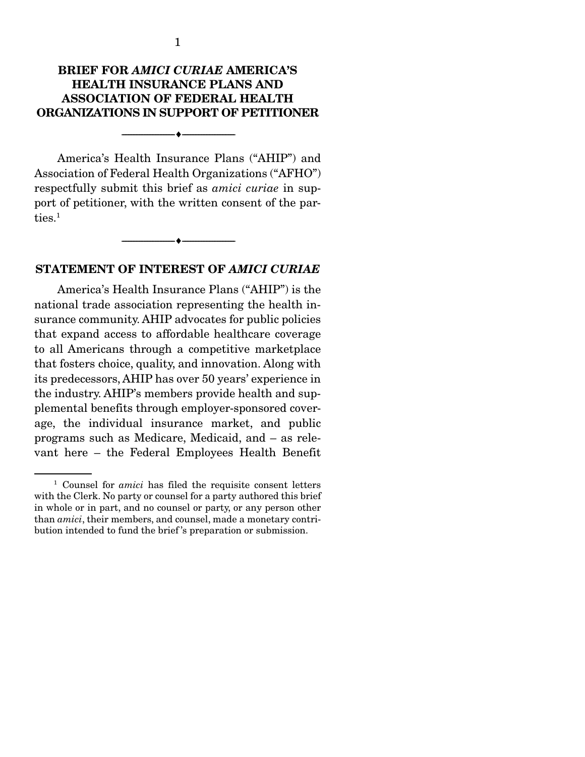### BRIEF FOR *AMICI CURIAE* AMERICA'S HEALTH INSURANCE PLANS AND ASSOCIATION OF FEDERAL HEALTH ORGANIZATIONS IN SUPPORT OF PETITIONER

--------------------------------- ---------------------------------

 America's Health Insurance Plans ("AHIP") and Association of Federal Health Organizations ("AFHO") respectfully submit this brief as *amici curiae* in support of petitioner, with the written consent of the parties.<sup>1</sup>

#### STATEMENT OF INTEREST OF *AMICI CURIAE*

--------------------------------- ---------------------------------

 America's Health Insurance Plans ("AHIP") is the national trade association representing the health insurance community. AHIP advocates for public policies that expand access to affordable healthcare coverage to all Americans through a competitive marketplace that fosters choice, quality, and innovation. Along with its predecessors, AHIP has over 50 years' experience in the industry. AHIP's members provide health and supplemental benefits through employer-sponsored coverage, the individual insurance market, and public programs such as Medicare, Medicaid, and – as relevant here – the Federal Employees Health Benefit

<sup>1</sup> Counsel for *amici* has filed the requisite consent letters with the Clerk. No party or counsel for a party authored this brief in whole or in part, and no counsel or party, or any person other than *amici*, their members, and counsel, made a monetary contribution intended to fund the brief 's preparation or submission.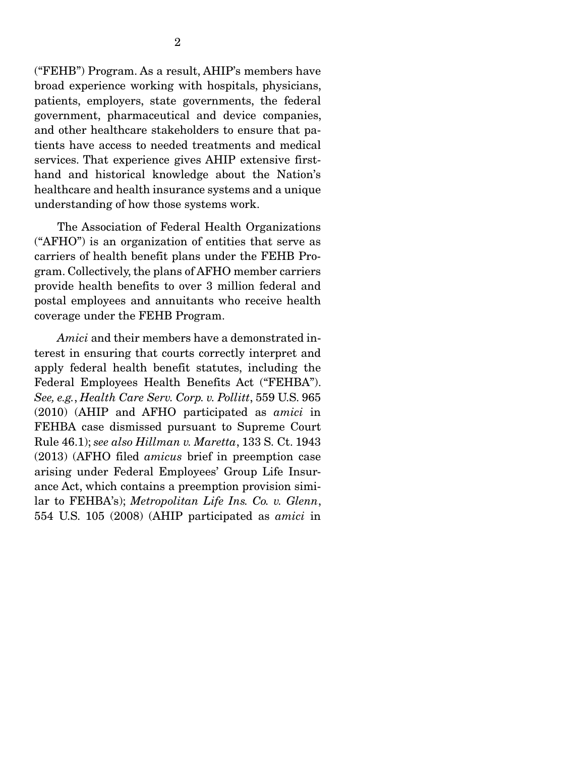("FEHB") Program. As a result, AHIP's members have broad experience working with hospitals, physicians, patients, employers, state governments, the federal government, pharmaceutical and device companies, and other healthcare stakeholders to ensure that patients have access to needed treatments and medical services. That experience gives AHIP extensive firsthand and historical knowledge about the Nation's healthcare and health insurance systems and a unique understanding of how those systems work.

 The Association of Federal Health Organizations ("AFHO") is an organization of entities that serve as carriers of health benefit plans under the FEHB Program. Collectively, the plans of AFHO member carriers provide health benefits to over 3 million federal and postal employees and annuitants who receive health coverage under the FEHB Program.

*Amici* and their members have a demonstrated interest in ensuring that courts correctly interpret and apply federal health benefit statutes, including the Federal Employees Health Benefits Act ("FEHBA"). *See, e.g.*, *Health Care Serv. Corp. v. Pollitt*, 559 U.S. 965 (2010) (AHIP and AFHO participated as *amici* in FEHBA case dismissed pursuant to Supreme Court Rule 46.1); *see also Hillman v. Maretta*, 133 S. Ct. 1943 (2013) (AFHO filed *amicus* brief in preemption case arising under Federal Employees' Group Life Insurance Act, which contains a preemption provision similar to FEHBA's); *Metropolitan Life Ins. Co. v. Glenn*, 554 U.S. 105 (2008) (AHIP participated as *amici* in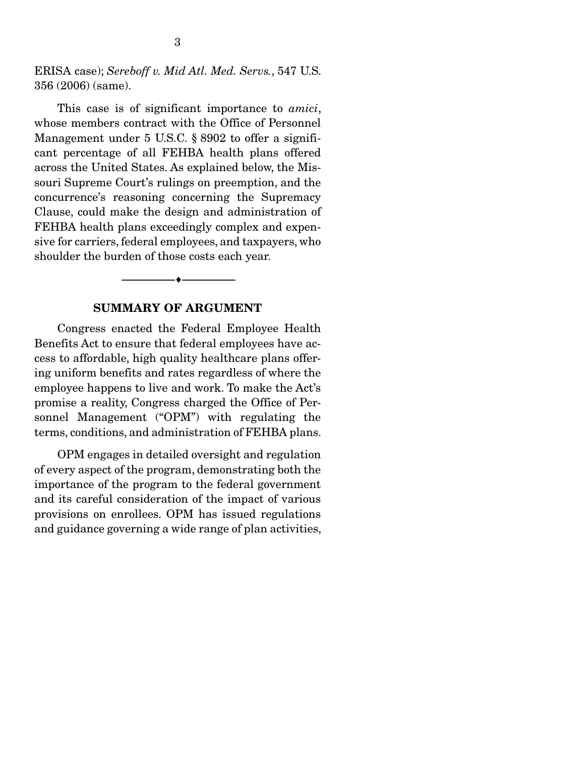ERISA case); *Sereboff v. Mid Atl. Med. Servs.*, 547 U.S. 356 (2006) (same).

 This case is of significant importance to *amici*, whose members contract with the Office of Personnel Management under 5 U.S.C. § 8902 to offer a significant percentage of all FEHBA health plans offered across the United States. As explained below, the Missouri Supreme Court's rulings on preemption, and the concurrence's reasoning concerning the Supremacy Clause, could make the design and administration of FEHBA health plans exceedingly complex and expensive for carriers, federal employees, and taxpayers, who shoulder the burden of those costs each year.

#### SUMMARY OF ARGUMENT

--------------------------------- ---------------------------------

 Congress enacted the Federal Employee Health Benefits Act to ensure that federal employees have access to affordable, high quality healthcare plans offering uniform benefits and rates regardless of where the employee happens to live and work. To make the Act's promise a reality, Congress charged the Office of Personnel Management ("OPM") with regulating the terms, conditions, and administration of FEHBA plans.

 OPM engages in detailed oversight and regulation of every aspect of the program, demonstrating both the importance of the program to the federal government and its careful consideration of the impact of various provisions on enrollees. OPM has issued regulations and guidance governing a wide range of plan activities,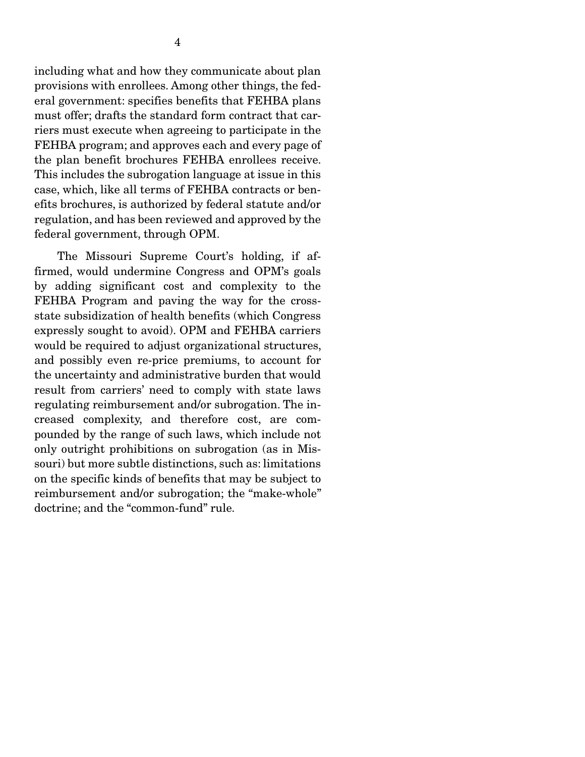provisions with enrollees. Among other things, the federal government: specifies benefits that FEHBA plans must offer; drafts the standard form contract that carriers must execute when agreeing to participate in the FEHBA program; and approves each and every page of the plan benefit brochures FEHBA enrollees receive. This includes the subrogation language at issue in this case, which, like all terms of FEHBA contracts or benefits brochures, is authorized by federal statute and/or regulation, and has been reviewed and approved by the federal government, through OPM.

 The Missouri Supreme Court's holding, if affirmed, would undermine Congress and OPM's goals by adding significant cost and complexity to the FEHBA Program and paving the way for the crossstate subsidization of health benefits (which Congress expressly sought to avoid). OPM and FEHBA carriers would be required to adjust organizational structures, and possibly even re-price premiums, to account for the uncertainty and administrative burden that would result from carriers' need to comply with state laws regulating reimbursement and/or subrogation. The increased complexity, and therefore cost, are compounded by the range of such laws, which include not only outright prohibitions on subrogation (as in Missouri) but more subtle distinctions, such as: limitations on the specific kinds of benefits that may be subject to reimbursement and/or subrogation; the "make-whole" doctrine; and the "common-fund" rule.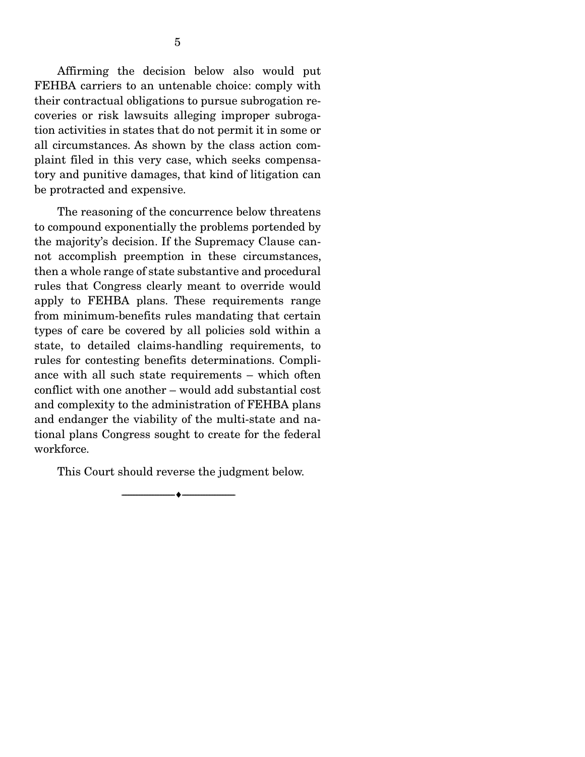Affirming the decision below also would put FEHBA carriers to an untenable choice: comply with their contractual obligations to pursue subrogation recoveries or risk lawsuits alleging improper subrogation activities in states that do not permit it in some or all circumstances. As shown by the class action complaint filed in this very case, which seeks compensatory and punitive damages, that kind of litigation can be protracted and expensive.

 The reasoning of the concurrence below threatens to compound exponentially the problems portended by the majority's decision. If the Supremacy Clause cannot accomplish preemption in these circumstances, then a whole range of state substantive and procedural rules that Congress clearly meant to override would apply to FEHBA plans. These requirements range from minimum-benefits rules mandating that certain types of care be covered by all policies sold within a state, to detailed claims-handling requirements, to rules for contesting benefits determinations. Compliance with all such state requirements – which often conflict with one another – would add substantial cost and complexity to the administration of FEHBA plans and endanger the viability of the multi-state and national plans Congress sought to create for the federal workforce.

This Court should reverse the judgment below.

--------------------------------- ---------------------------------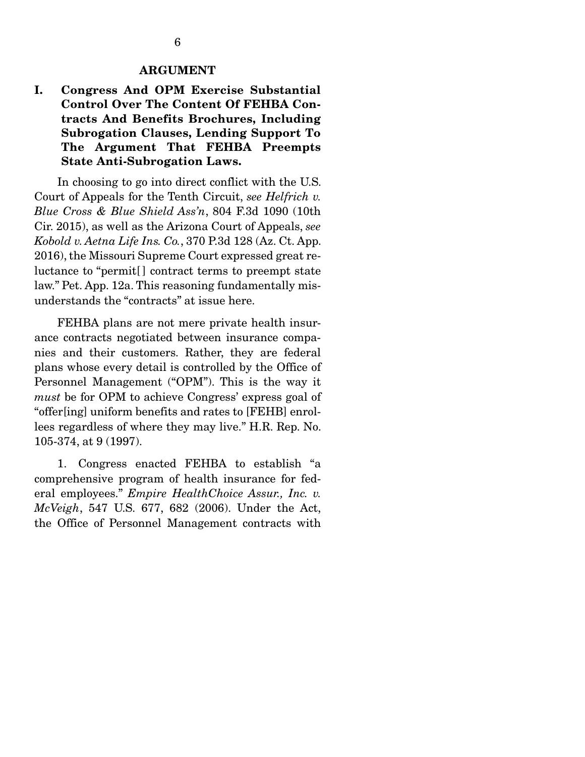#### ARGUMENT

I. Congress And OPM Exercise Substantial Control Over The Content Of FEHBA Contracts And Benefits Brochures, Including Subrogation Clauses, Lending Support To The Argument That FEHBA Preempts State Anti-Subrogation Laws.

 In choosing to go into direct conflict with the U.S. Court of Appeals for the Tenth Circuit, *see Helfrich v. Blue Cross & Blue Shield Ass'n*, 804 F.3d 1090 (10th Cir. 2015), as well as the Arizona Court of Appeals, *see Kobold v. Aetna Life Ins. Co.*, 370 P.3d 128 (Az. Ct. App. 2016), the Missouri Supreme Court expressed great reluctance to "permit[] contract terms to preempt state law." Pet. App. 12a. This reasoning fundamentally misunderstands the "contracts" at issue here.

 FEHBA plans are not mere private health insurance contracts negotiated between insurance companies and their customers. Rather, they are federal plans whose every detail is controlled by the Office of Personnel Management ("OPM"). This is the way it *must* be for OPM to achieve Congress' express goal of "offer[ing] uniform benefits and rates to [FEHB] enrollees regardless of where they may live." H.R. Rep. No. 105-374, at 9 (1997).

 1. Congress enacted FEHBA to establish "a comprehensive program of health insurance for federal employees." *Empire HealthChoice Assur., Inc. v. McVeigh*, 547 U.S. 677, 682 (2006). Under the Act, the Office of Personnel Management contracts with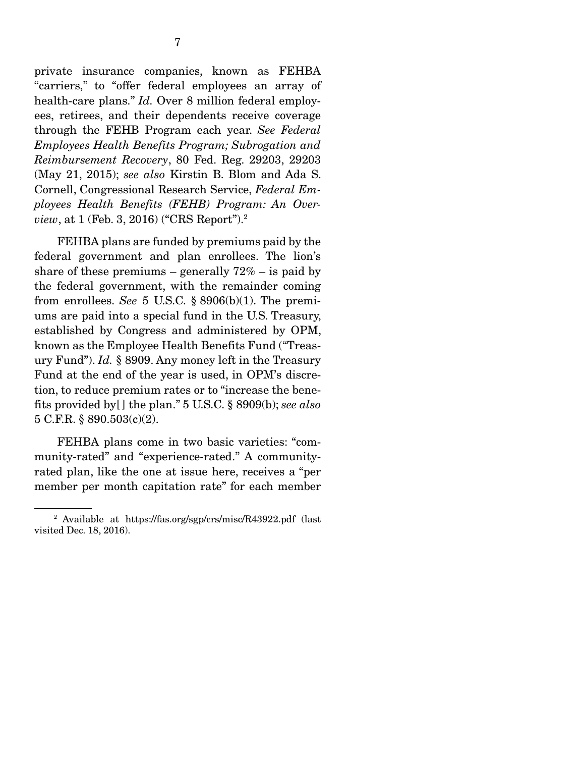private insurance companies, known as FEHBA "carriers," to "offer federal employees an array of health-care plans." *Id.* Over 8 million federal employees, retirees, and their dependents receive coverage through the FEHB Program each year. *See Federal Employees Health Benefits Program; Subrogation and Reimbursement Recovery*, 80 Fed. Reg. 29203, 29203 (May 21, 2015); *see also* Kirstin B. Blom and Ada S. Cornell, Congressional Research Service, *Federal Employees Health Benefits (FEHB) Program: An Overview*, at 1 (Feb. 3, 2016) ("CRS Report").2

 FEHBA plans are funded by premiums paid by the federal government and plan enrollees. The lion's share of these premiums – generally  $72\%$  – is paid by the federal government, with the remainder coming from enrollees. *See* 5 U.S.C. § 8906(b)(1). The premiums are paid into a special fund in the U.S. Treasury, established by Congress and administered by OPM, known as the Employee Health Benefits Fund ("Treasury Fund"). *Id.* § 8909. Any money left in the Treasury Fund at the end of the year is used, in OPM's discretion, to reduce premium rates or to "increase the benefits provided by[ ] the plan." 5 U.S.C. § 8909(b); *see also* 5 C.F.R. § 890.503(c)(2).

 FEHBA plans come in two basic varieties: "community-rated" and "experience-rated." A communityrated plan, like the one at issue here, receives a "per member per month capitation rate" for each member

<sup>&</sup>lt;sup>2</sup> Available at https://fas.org/sgp/crs/misc/R43922.pdf (last visited Dec. 18, 2016).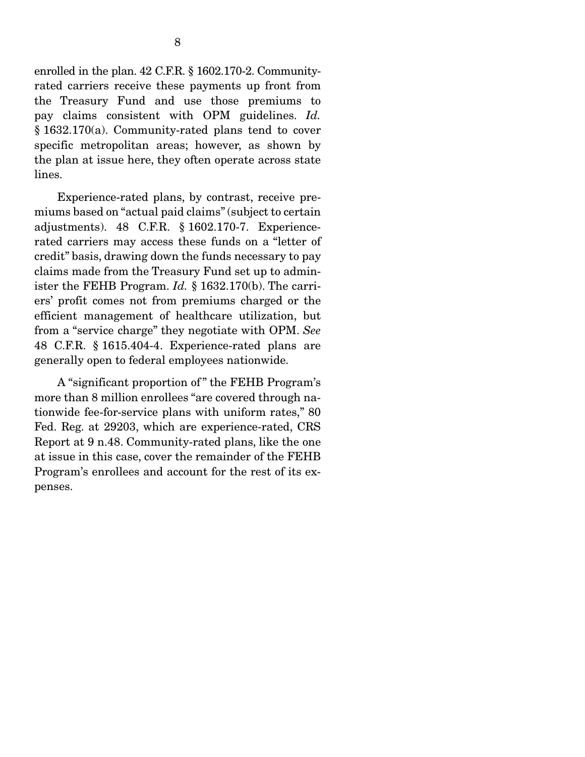enrolled in the plan. 42 C.F.R. § 1602.170-2. Communityrated carriers receive these payments up front from the Treasury Fund and use those premiums to pay claims consistent with OPM guidelines. *Id.* § 1632.170(a). Community-rated plans tend to cover specific metropolitan areas; however, as shown by the plan at issue here, they often operate across state lines.

 Experience-rated plans, by contrast, receive premiums based on "actual paid claims" (subject to certain adjustments). 48 C.F.R. § 1602.170-7. Experiencerated carriers may access these funds on a "letter of credit" basis, drawing down the funds necessary to pay claims made from the Treasury Fund set up to administer the FEHB Program. *Id.* § 1632.170(b). The carriers' profit comes not from premiums charged or the efficient management of healthcare utilization, but from a "service charge" they negotiate with OPM. *See*  48 C.F.R. § 1615.404-4. Experience-rated plans are generally open to federal employees nationwide.

 A "significant proportion of " the FEHB Program's more than 8 million enrollees "are covered through nationwide fee-for-service plans with uniform rates," 80 Fed. Reg. at 29203, which are experience-rated, CRS Report at 9 n.48. Community-rated plans, like the one at issue in this case, cover the remainder of the FEHB Program's enrollees and account for the rest of its expenses. Ī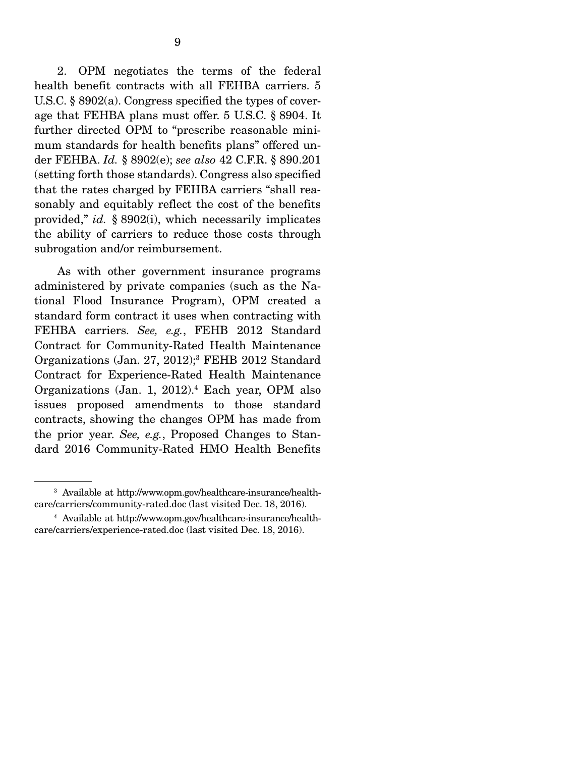2. OPM negotiates the terms of the federal health benefit contracts with all FEHBA carriers. 5 U.S.C. § 8902(a). Congress specified the types of coverage that FEHBA plans must offer. 5 U.S.C. § 8904. It further directed OPM to "prescribe reasonable minimum standards for health benefits plans" offered under FEHBA. *Id.* § 8902(e); *see also* 42 C.F.R. § 890.201 (setting forth those standards). Congress also specified that the rates charged by FEHBA carriers "shall reasonably and equitably reflect the cost of the benefits provided," *id.* § 8902(i), which necessarily implicates the ability of carriers to reduce those costs through subrogation and/or reimbursement.

 As with other government insurance programs administered by private companies (such as the National Flood Insurance Program), OPM created a standard form contract it uses when contracting with FEHBA carriers. *See, e.g.*, FEHB 2012 Standard Contract for Community-Rated Health Maintenance Organizations (Jan. 27, 2012);<sup>3</sup> FEHB 2012 Standard Contract for Experience-Rated Health Maintenance Organizations (Jan. 1, 2012).4 Each year, OPM also issues proposed amendments to those standard contracts, showing the changes OPM has made from the prior year. *See, e.g.*, Proposed Changes to Standard 2016 Community-Rated HMO Health Benefits

<sup>&</sup>lt;sup>3</sup> Available at http://www.opm.gov/healthcare-insurance/healthcare/carriers/community-rated.doc (last visited Dec. 18, 2016).

<sup>4</sup> Available at http://www.opm.gov/healthcare-insurance/healthcare/carriers/experience-rated.doc (last visited Dec. 18, 2016).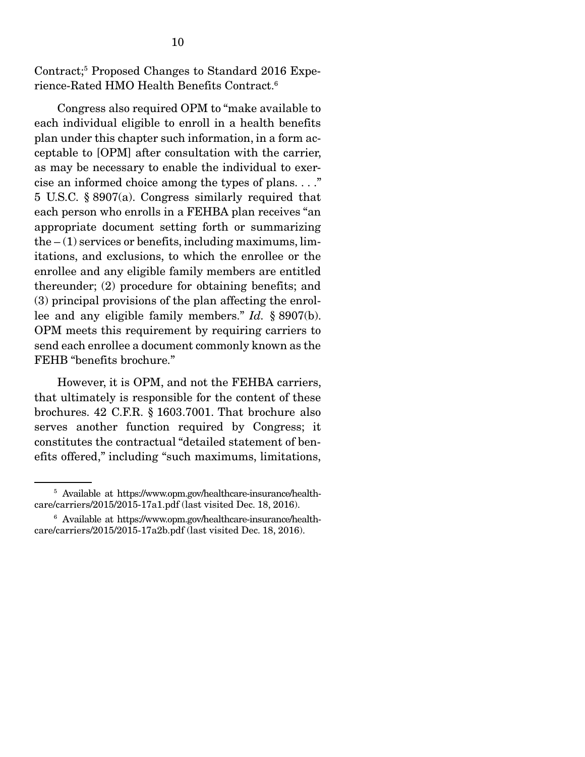Contract;5 Proposed Changes to Standard 2016 Experience-Rated HMO Health Benefits Contract.6

 Congress also required OPM to "make available to each individual eligible to enroll in a health benefits plan under this chapter such information, in a form acceptable to [OPM] after consultation with the carrier, as may be necessary to enable the individual to exercise an informed choice among the types of plans. . . ." 5 U.S.C. § 8907(a). Congress similarly required that each person who enrolls in a FEHBA plan receives "an appropriate document setting forth or summarizing the  $-(1)$  services or benefits, including maximums, limitations, and exclusions, to which the enrollee or the enrollee and any eligible family members are entitled thereunder; (2) procedure for obtaining benefits; and (3) principal provisions of the plan affecting the enrollee and any eligible family members." *Id.* § 8907(b). OPM meets this requirement by requiring carriers to send each enrollee a document commonly known as the FEHB "benefits brochure."

 However, it is OPM, and not the FEHBA carriers, that ultimately is responsible for the content of these brochures. 42 C.F.R. § 1603.7001. That brochure also serves another function required by Congress; it constitutes the contractual "detailed statement of benefits offered," including "such maximums, limitations,

<sup>&</sup>lt;sup>5</sup> Available at https://www.opm.gov/healthcare-insurance/healthcare/carriers/2015/2015-17a1.pdf (last visited Dec. 18, 2016).

<sup>6</sup> Available at https://www.opm.gov/healthcare-insurance/healthcare/carriers/2015/2015-17a2b.pdf (last visited Dec. 18, 2016).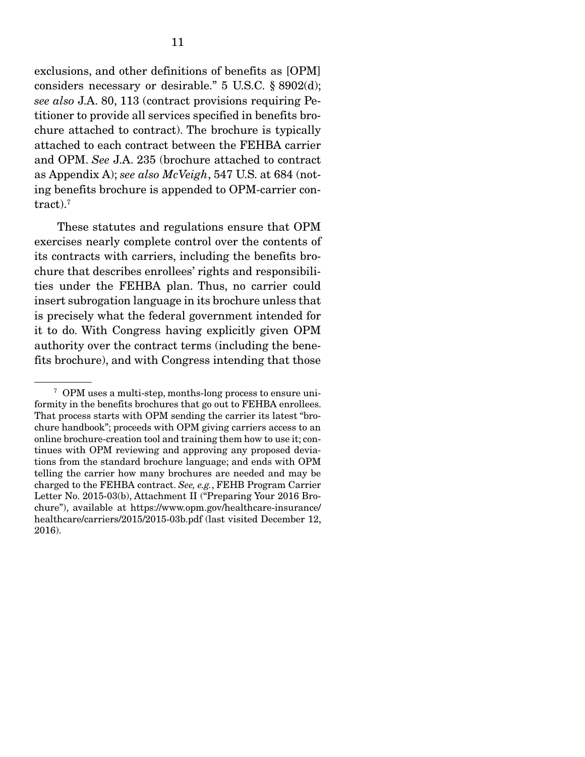exclusions, and other definitions of benefits as [OPM] considers necessary or desirable." 5 U.S.C. § 8902(d); *see also* J.A. 80, 113 (contract provisions requiring Petitioner to provide all services specified in benefits brochure attached to contract). The brochure is typically attached to each contract between the FEHBA carrier and OPM. *See* J.A. 235 (brochure attached to contract as Appendix A); *see also McVeigh*, 547 U.S. at 684 (noting benefits brochure is appended to OPM-carrier contract). $7$ 

 These statutes and regulations ensure that OPM exercises nearly complete control over the contents of its contracts with carriers, including the benefits brochure that describes enrollees' rights and responsibilities under the FEHBA plan. Thus, no carrier could insert subrogation language in its brochure unless that is precisely what the federal government intended for it to do. With Congress having explicitly given OPM authority over the contract terms (including the benefits brochure), and with Congress intending that those

<sup>7</sup> OPM uses a multi-step, months-long process to ensure uniformity in the benefits brochures that go out to FEHBA enrollees. That process starts with OPM sending the carrier its latest "brochure handbook"; proceeds with OPM giving carriers access to an online brochure-creation tool and training them how to use it; continues with OPM reviewing and approving any proposed deviations from the standard brochure language; and ends with OPM telling the carrier how many brochures are needed and may be charged to the FEHBA contract. *See, e.g.*, FEHB Program Carrier Letter No. 2015-03(b), Attachment II ("Preparing Your 2016 Brochure"), available at https://www.opm.gov/healthcare-insurance/ healthcare/carriers/2015/2015-03b.pdf (last visited December 12, 2016).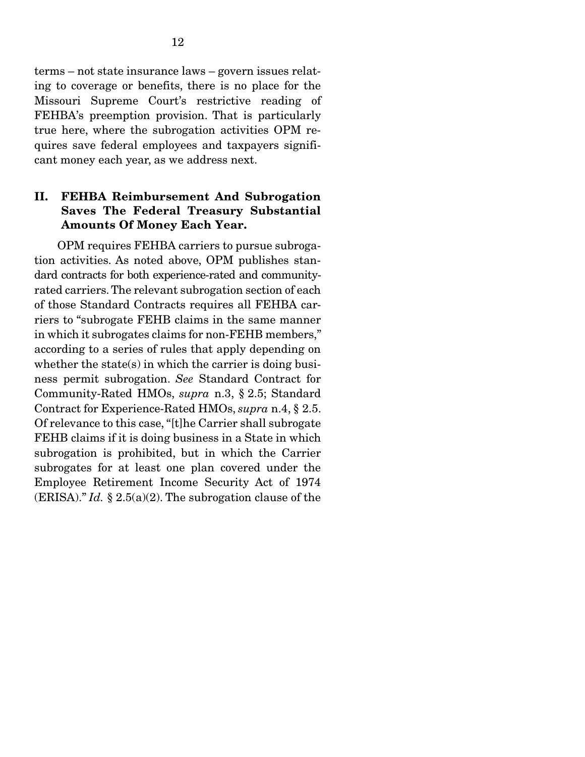terms – not state insurance laws – govern issues relating to coverage or benefits, there is no place for the Missouri Supreme Court's restrictive reading of FEHBA's preemption provision. That is particularly true here, where the subrogation activities OPM requires save federal employees and taxpayers significant money each year, as we address next.

#### II. FEHBA Reimbursement And Subrogation Saves The Federal Treasury Substantial Amounts Of Money Each Year.

 OPM requires FEHBA carriers to pursue subrogation activities. As noted above, OPM publishes standard contracts for both experience-rated and communityrated carriers. The relevant subrogation section of each of those Standard Contracts requires all FEHBA carriers to "subrogate FEHB claims in the same manner in which it subrogates claims for non-FEHB members," according to a series of rules that apply depending on whether the state(s) in which the carrier is doing business permit subrogation. *See* Standard Contract for Community-Rated HMOs, *supra* n.3, § 2.5; Standard Contract for Experience-Rated HMOs, *supra* n.4, § 2.5. Of relevance to this case, "[t]he Carrier shall subrogate FEHB claims if it is doing business in a State in which subrogation is prohibited, but in which the Carrier subrogates for at least one plan covered under the Employee Retirement Income Security Act of 1974 (ERISA)." *Id.* § 2.5(a)(2). The subrogation clause of the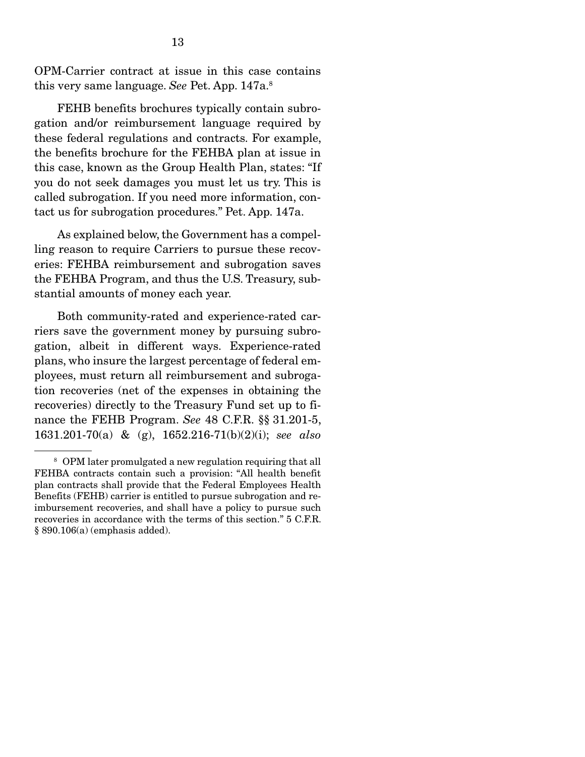OPM-Carrier contract at issue in this case contains this very same language. *See* Pet. App. 147a.8

 FEHB benefits brochures typically contain subrogation and/or reimbursement language required by these federal regulations and contracts. For example, the benefits brochure for the FEHBA plan at issue in this case, known as the Group Health Plan, states: "If you do not seek damages you must let us try. This is called subrogation. If you need more information, contact us for subrogation procedures." Pet. App. 147a.

 As explained below, the Government has a compelling reason to require Carriers to pursue these recoveries: FEHBA reimbursement and subrogation saves the FEHBA Program, and thus the U.S. Treasury, substantial amounts of money each year.

 Both community-rated and experience-rated carriers save the government money by pursuing subrogation, albeit in different ways. Experience-rated plans, who insure the largest percentage of federal employees, must return all reimbursement and subrogation recoveries (net of the expenses in obtaining the recoveries) directly to the Treasury Fund set up to finance the FEHB Program. *See* 48 C.F.R. §§ 31.201-5, 1631.201-70(a) & (g), 1652.216-71(b)(2)(i); *see also*

<sup>&</sup>lt;sup>8</sup> OPM later promulgated a new regulation requiring that all FEHBA contracts contain such a provision: "All health benefit plan contracts shall provide that the Federal Employees Health Benefits (FEHB) carrier is entitled to pursue subrogation and reimbursement recoveries, and shall have a policy to pursue such recoveries in accordance with the terms of this section." 5 C.F.R. § 890.106(a) (emphasis added).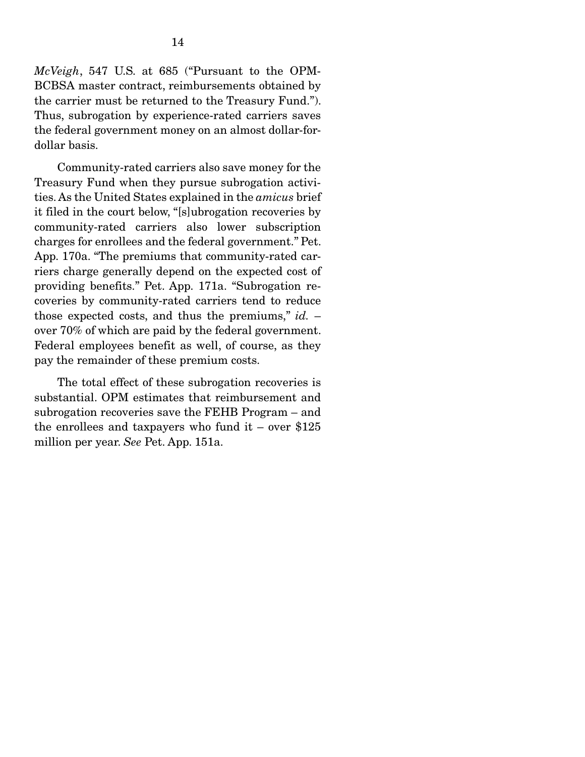*McVeigh*, 547 U.S. at 685 ("Pursuant to the OPM-BCBSA master contract, reimbursements obtained by the carrier must be returned to the Treasury Fund."). Thus, subrogation by experience-rated carriers saves the federal government money on an almost dollar-fordollar basis.

 Community-rated carriers also save money for the Treasury Fund when they pursue subrogation activities. As the United States explained in the *amicus* brief it filed in the court below, "[s]ubrogation recoveries by community-rated carriers also lower subscription charges for enrollees and the federal government." Pet. App. 170a. "The premiums that community-rated carriers charge generally depend on the expected cost of providing benefits." Pet. App. 171a. "Subrogation recoveries by community-rated carriers tend to reduce those expected costs, and thus the premiums," *id.* – over 70% of which are paid by the federal government. Federal employees benefit as well, of course, as they pay the remainder of these premium costs.

 The total effect of these subrogation recoveries is substantial. OPM estimates that reimbursement and subrogation recoveries save the FEHB Program – and the enrollees and taxpayers who fund it – over  $$125$ million per year. *See* Pet. App. 151a.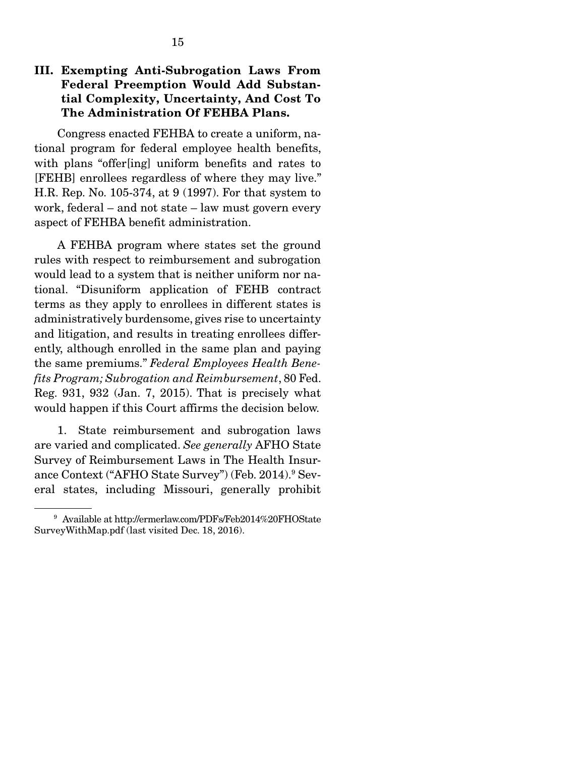#### III. Exempting Anti-Subrogation Laws From Federal Preemption Would Add Substantial Complexity, Uncertainty, And Cost To The Administration Of FEHBA Plans.

 Congress enacted FEHBA to create a uniform, national program for federal employee health benefits, with plans "offer[ing] uniform benefits and rates to [FEHB] enrollees regardless of where they may live." H.R. Rep. No. 105-374, at 9 (1997). For that system to work, federal – and not state – law must govern every aspect of FEHBA benefit administration.

 A FEHBA program where states set the ground rules with respect to reimbursement and subrogation would lead to a system that is neither uniform nor national. "Disuniform application of FEHB contract terms as they apply to enrollees in different states is administratively burdensome, gives rise to uncertainty and litigation, and results in treating enrollees differently, although enrolled in the same plan and paying the same premiums." *Federal Employees Health Benefits Program; Subrogation and Reimbursement*, 80 Fed. Reg. 931, 932 (Jan. 7, 2015). That is precisely what would happen if this Court affirms the decision below.

 1. State reimbursement and subrogation laws are varied and complicated. *See generally* AFHO State Survey of Reimbursement Laws in The Health Insurance Context ("AFHO State Survey") (Feb. 2014).<sup>9</sup> Several states, including Missouri, generally prohibit

<sup>9</sup> Available at http://ermerlaw.com/PDFs/Feb2014%20FHOState SurveyWithMap.pdf (last visited Dec. 18, 2016).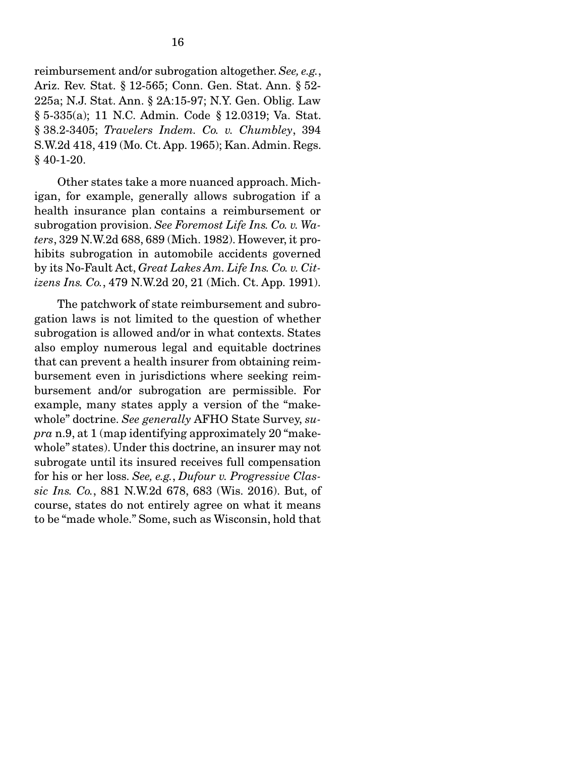reimbursement and/or subrogation altogether. *See, e.g.*, Ariz. Rev. Stat. § 12-565; Conn. Gen. Stat. Ann. § 52- 225a; N.J. Stat. Ann. § 2A:15-97; N.Y. Gen. Oblig. Law § 5-335(a); 11 N.C. Admin. Code § 12.0319; Va. Stat. § 38.2-3405; *Travelers Indem. Co. v. Chumbley*, 394 S.W.2d 418, 419 (Mo. Ct. App. 1965); Kan. Admin. Regs.  $§$  40-1-20.

 Other states take a more nuanced approach. Michigan, for example, generally allows subrogation if a health insurance plan contains a reimbursement or subrogation provision. *See Foremost Life Ins. Co. v. Waters*, 329 N.W.2d 688, 689 (Mich. 1982). However, it prohibits subrogation in automobile accidents governed by its No-Fault Act, *Great Lakes Am. Life Ins. Co. v. Citizens Ins. Co.*, 479 N.W.2d 20, 21 (Mich. Ct. App. 1991).

 The patchwork of state reimbursement and subrogation laws is not limited to the question of whether subrogation is allowed and/or in what contexts. States also employ numerous legal and equitable doctrines that can prevent a health insurer from obtaining reimbursement even in jurisdictions where seeking reimbursement and/or subrogation are permissible. For example, many states apply a version of the "makewhole" doctrine. *See generally* AFHO State Survey, *supra* n.9, at 1 (map identifying approximately 20 "makewhole" states). Under this doctrine, an insurer may not subrogate until its insured receives full compensation for his or her loss. *See, e.g.*, *Dufour v. Progressive Classic Ins. Co.*, 881 N.W.2d 678, 683 (Wis. 2016). But, of course, states do not entirely agree on what it means to be "made whole." Some, such as Wisconsin, hold that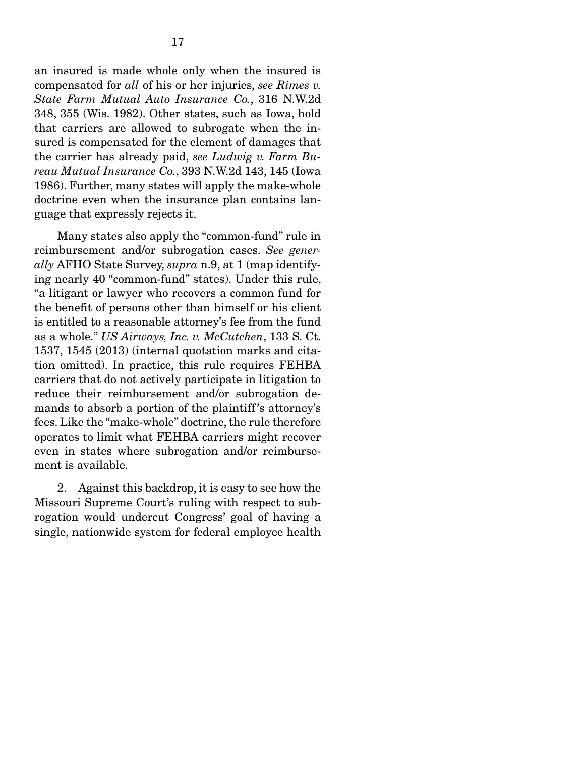an insured is made whole only when the insured is compensated for *all* of his or her injuries, *see Rimes v. State Farm Mutual Auto Insurance Co.*, 316 N.W.2d 348, 355 (Wis. 1982). Other states, such as Iowa, hold that carriers are allowed to subrogate when the insured is compensated for the element of damages that the carrier has already paid, *see Ludwig v. Farm Bureau Mutual Insurance Co.*, 393 N.W.2d 143, 145 (Iowa 1986). Further, many states will apply the make-whole

doctrine even when the insurance plan contains lan-

guage that expressly rejects it.

 Many states also apply the "common-fund" rule in reimbursement and/or subrogation cases. *See generally* AFHO State Survey, *supra* n.9, at 1 (map identifying nearly 40 "common-fund" states). Under this rule, "a litigant or lawyer who recovers a common fund for the benefit of persons other than himself or his client is entitled to a reasonable attorney's fee from the fund as a whole." *US Airways, Inc. v. McCutchen*, 133 S. Ct. 1537, 1545 (2013) (internal quotation marks and citation omitted). In practice, this rule requires FEHBA carriers that do not actively participate in litigation to reduce their reimbursement and/or subrogation demands to absorb a portion of the plaintiff 's attorney's fees. Like the "make-whole" doctrine, the rule therefore operates to limit what FEHBA carriers might recover even in states where subrogation and/or reimbursement is available.

 2. Against this backdrop, it is easy to see how the Missouri Supreme Court's ruling with respect to subrogation would undercut Congress' goal of having a single, nationwide system for federal employee health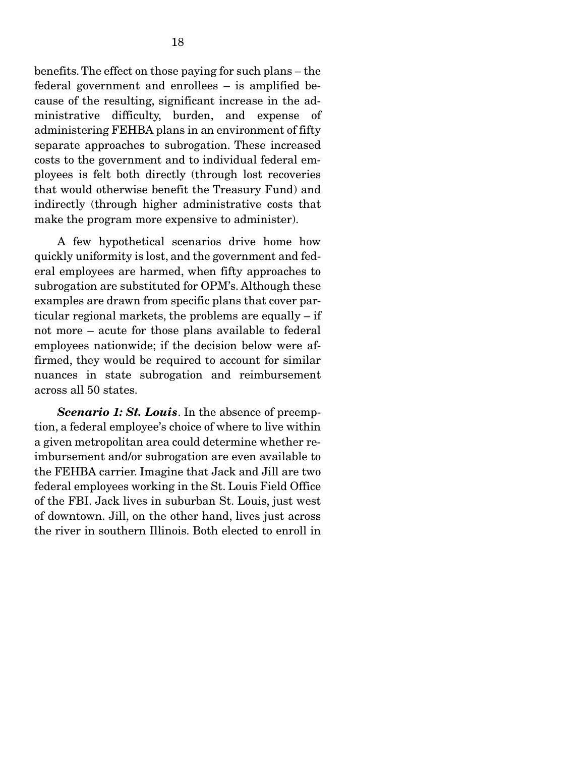benefits. The effect on those paying for such plans – the federal government and enrollees – is amplified because of the resulting, significant increase in the administrative difficulty, burden, and expense of administering FEHBA plans in an environment of fifty separate approaches to subrogation. These increased costs to the government and to individual federal employees is felt both directly (through lost recoveries that would otherwise benefit the Treasury Fund) and indirectly (through higher administrative costs that make the program more expensive to administer).

 A few hypothetical scenarios drive home how quickly uniformity is lost, and the government and federal employees are harmed, when fifty approaches to subrogation are substituted for OPM's. Although these examples are drawn from specific plans that cover particular regional markets, the problems are equally – if not more – acute for those plans available to federal employees nationwide; if the decision below were affirmed, they would be required to account for similar nuances in state subrogation and reimbursement across all 50 states.

*Scenario 1: St. Louis*. In the absence of preemption, a federal employee's choice of where to live within a given metropolitan area could determine whether reimbursement and/or subrogation are even available to the FEHBA carrier. Imagine that Jack and Jill are two federal employees working in the St. Louis Field Office of the FBI. Jack lives in suburban St. Louis, just west of downtown. Jill, on the other hand, lives just across the river in southern Illinois. Both elected to enroll in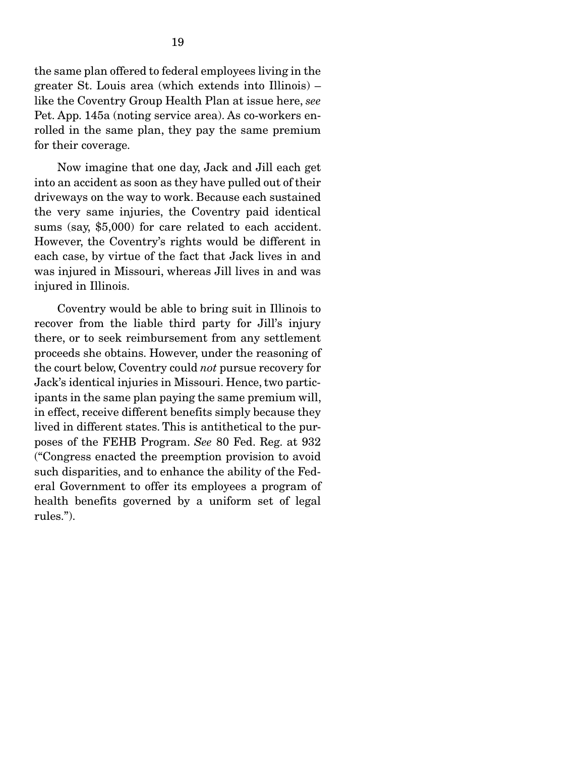the same plan offered to federal employees living in the greater St. Louis area (which extends into Illinois) – like the Coventry Group Health Plan at issue here, *see* Pet. App. 145a (noting service area). As co-workers enrolled in the same plan, they pay the same premium for their coverage.

 Now imagine that one day, Jack and Jill each get into an accident as soon as they have pulled out of their driveways on the way to work. Because each sustained the very same injuries, the Coventry paid identical sums (say, \$5,000) for care related to each accident. However, the Coventry's rights would be different in each case, by virtue of the fact that Jack lives in and was injured in Missouri, whereas Jill lives in and was injured in Illinois.

 Coventry would be able to bring suit in Illinois to recover from the liable third party for Jill's injury there, or to seek reimbursement from any settlement proceeds she obtains. However, under the reasoning of the court below, Coventry could *not* pursue recovery for Jack's identical injuries in Missouri. Hence, two participants in the same plan paying the same premium will, in effect, receive different benefits simply because they lived in different states. This is antithetical to the purposes of the FEHB Program. *See* 80 Fed. Reg. at 932 ("Congress enacted the preemption provision to avoid such disparities, and to enhance the ability of the Federal Government to offer its employees a program of health benefits governed by a uniform set of legal rules.").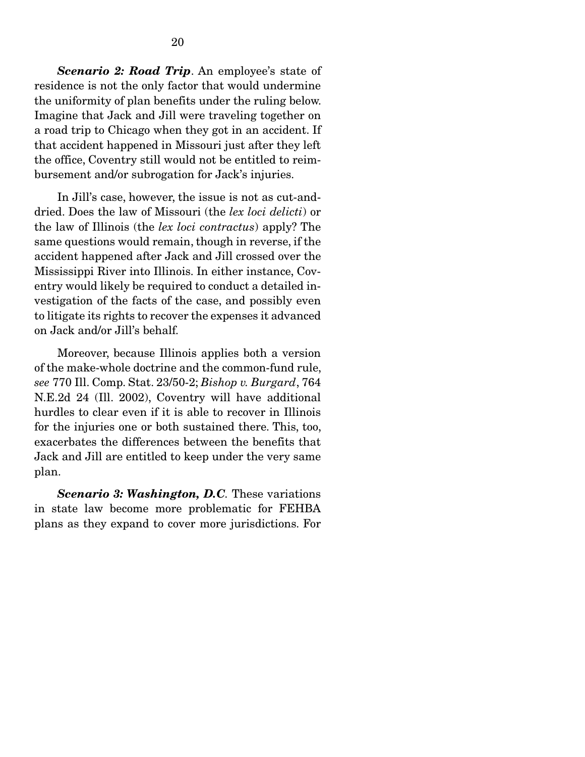*Scenario 2: Road Trip*. An employee's state of residence is not the only factor that would undermine the uniformity of plan benefits under the ruling below. Imagine that Jack and Jill were traveling together on a road trip to Chicago when they got in an accident. If that accident happened in Missouri just after they left the office, Coventry still would not be entitled to reimbursement and/or subrogation for Jack's injuries.

 In Jill's case, however, the issue is not as cut-anddried. Does the law of Missouri (the *lex loci delicti*) or the law of Illinois (the *lex loci contractus*) apply? The same questions would remain, though in reverse, if the accident happened after Jack and Jill crossed over the Mississippi River into Illinois. In either instance, Coventry would likely be required to conduct a detailed investigation of the facts of the case, and possibly even to litigate its rights to recover the expenses it advanced on Jack and/or Jill's behalf.

 Moreover, because Illinois applies both a version of the make-whole doctrine and the common-fund rule, *see* 770 Ill. Comp. Stat. 23/50-2; *Bishop v. Burgard*, 764 N.E.2d 24 (Ill. 2002), Coventry will have additional hurdles to clear even if it is able to recover in Illinois for the injuries one or both sustained there. This, too, exacerbates the differences between the benefits that Jack and Jill are entitled to keep under the very same plan.

*Scenario 3: Washington, D.C.* These variations in state law become more problematic for FEHBA plans as they expand to cover more jurisdictions. For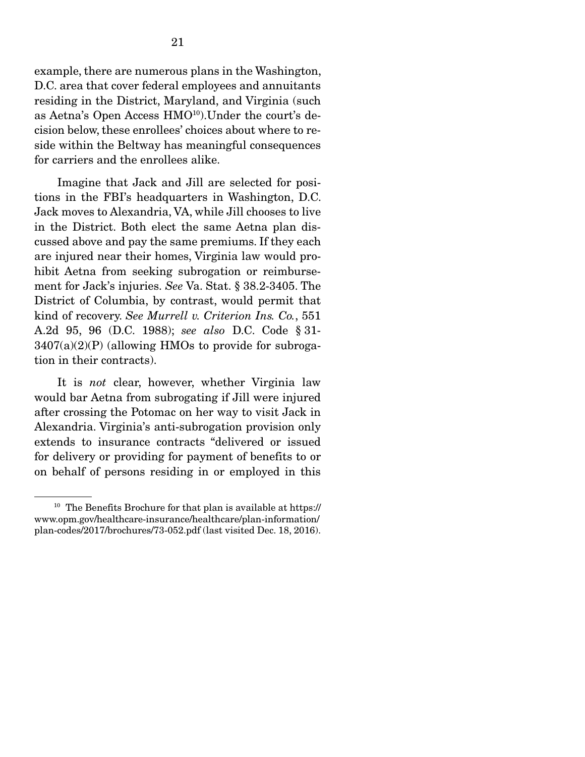example, there are numerous plans in the Washington, D.C. area that cover federal employees and annuitants residing in the District, Maryland, and Virginia (such as Aetna's Open Access HMO<sup>10</sup>). Under the court's decision below, these enrollees' choices about where to reside within the Beltway has meaningful consequences for carriers and the enrollees alike.

 Imagine that Jack and Jill are selected for positions in the FBI's headquarters in Washington, D.C. Jack moves to Alexandria, VA, while Jill chooses to live in the District. Both elect the same Aetna plan discussed above and pay the same premiums. If they each are injured near their homes, Virginia law would prohibit Aetna from seeking subrogation or reimbursement for Jack's injuries. *See* Va. Stat. § 38.2-3405. The District of Columbia, by contrast, would permit that kind of recovery. *See Murrell v. Criterion Ins. Co.*, 551 A.2d 95, 96 (D.C. 1988); *see also* D.C. Code § 31-  $3407(a)(2)(P)$  (allowing HMOs to provide for subrogation in their contracts).

 It is *not* clear, however, whether Virginia law would bar Aetna from subrogating if Jill were injured after crossing the Potomac on her way to visit Jack in Alexandria. Virginia's anti-subrogation provision only extends to insurance contracts "delivered or issued for delivery or providing for payment of benefits to or on behalf of persons residing in or employed in this

<sup>&</sup>lt;sup>10</sup> The Benefits Brochure for that plan is available at https:// www.opm.gov/healthcare-insurance/healthcare/plan-information/ plan-codes/2017/brochures/73-052.pdf (last visited Dec. 18, 2016).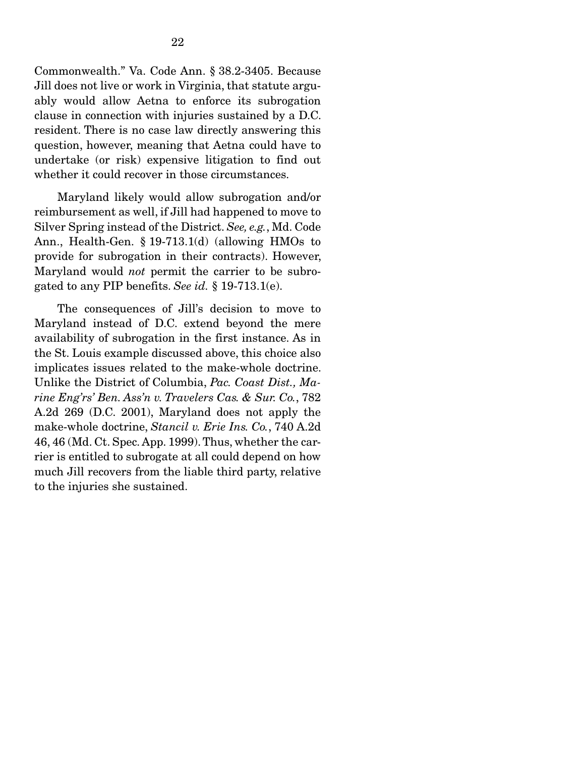Commonwealth." Va. Code Ann. § 38.2-3405. Because Jill does not live or work in Virginia, that statute arguably would allow Aetna to enforce its subrogation clause in connection with injuries sustained by a D.C. resident. There is no case law directly answering this question, however, meaning that Aetna could have to undertake (or risk) expensive litigation to find out whether it could recover in those circumstances.

 Maryland likely would allow subrogation and/or reimbursement as well, if Jill had happened to move to Silver Spring instead of the District. *See, e.g.*, Md. Code Ann., Health-Gen. § 19-713.1(d) (allowing HMOs to provide for subrogation in their contracts). However, Maryland would *not* permit the carrier to be subrogated to any PIP benefits. *See id.* § 19-713.1(e).

 The consequences of Jill's decision to move to Maryland instead of D.C. extend beyond the mere availability of subrogation in the first instance. As in the St. Louis example discussed above, this choice also implicates issues related to the make-whole doctrine. Unlike the District of Columbia, *Pac. Coast Dist., Marine Eng'rs' Ben. Ass'n v. Travelers Cas. & Sur. Co.*, 782 A.2d 269 (D.C. 2001), Maryland does not apply the make-whole doctrine, *Stancil v. Erie Ins. Co.*, 740 A.2d 46, 46 (Md. Ct. Spec. App. 1999). Thus, whether the carrier is entitled to subrogate at all could depend on how much Jill recovers from the liable third party, relative to the injuries she sustained.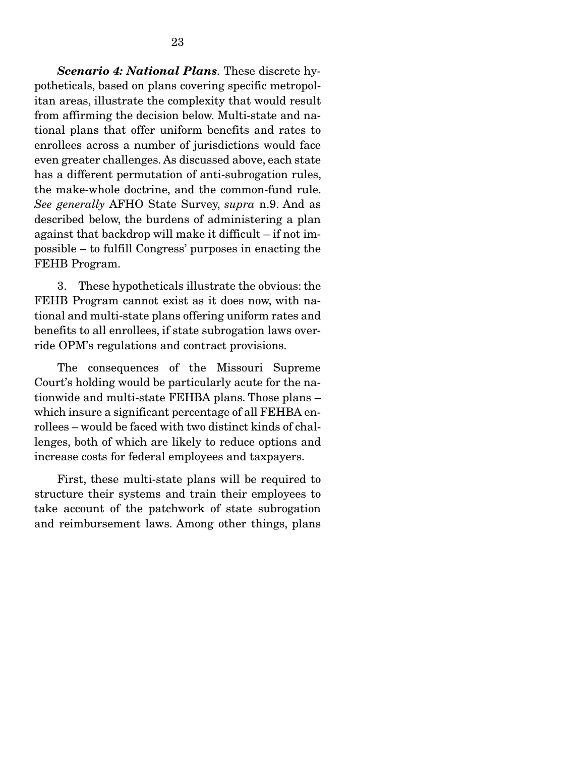*Scenario 4: National Plans.* These discrete hypotheticals, based on plans covering specific metropolitan areas, illustrate the complexity that would result from affirming the decision below. Multi-state and national plans that offer uniform benefits and rates to enrollees across a number of jurisdictions would face even greater challenges. As discussed above, each state has a different permutation of anti-subrogation rules, the make-whole doctrine, and the common-fund rule. *See generally* AFHO State Survey, *supra* n.9. And as described below, the burdens of administering a plan against that backdrop will make it difficult – if not impossible – to fulfill Congress' purposes in enacting the FEHB Program.

 3. These hypotheticals illustrate the obvious: the FEHB Program cannot exist as it does now, with national and multi-state plans offering uniform rates and benefits to all enrollees, if state subrogation laws override OPM's regulations and contract provisions.

 The consequences of the Missouri Supreme Court's holding would be particularly acute for the nationwide and multi-state FEHBA plans. Those plans – which insure a significant percentage of all FEHBA enrollees – would be faced with two distinct kinds of challenges, both of which are likely to reduce options and increase costs for federal employees and taxpayers.

 First, these multi-state plans will be required to structure their systems and train their employees to take account of the patchwork of state subrogation and reimbursement laws. Among other things, plans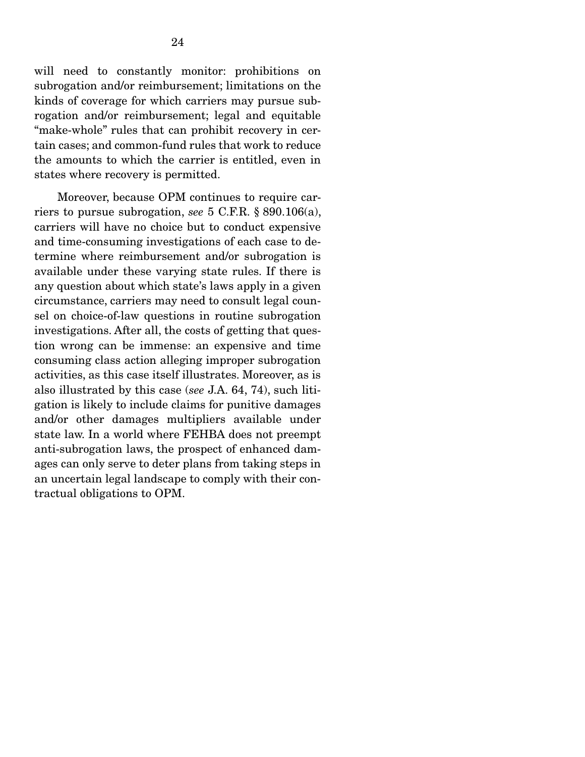will need to constantly monitor: prohibitions on subrogation and/or reimbursement; limitations on the kinds of coverage for which carriers may pursue subrogation and/or reimbursement; legal and equitable "make-whole" rules that can prohibit recovery in certain cases; and common-fund rules that work to reduce the amounts to which the carrier is entitled, even in states where recovery is permitted.

 Moreover, because OPM continues to require carriers to pursue subrogation, *see* 5 C.F.R. § 890.106(a), carriers will have no choice but to conduct expensive and time-consuming investigations of each case to determine where reimbursement and/or subrogation is available under these varying state rules. If there is any question about which state's laws apply in a given circumstance, carriers may need to consult legal counsel on choice-of-law questions in routine subrogation investigations. After all, the costs of getting that question wrong can be immense: an expensive and time consuming class action alleging improper subrogation activities, as this case itself illustrates. Moreover, as is also illustrated by this case (*see* J.A. 64, 74), such litigation is likely to include claims for punitive damages and/or other damages multipliers available under state law. In a world where FEHBA does not preempt anti-subrogation laws, the prospect of enhanced damages can only serve to deter plans from taking steps in an uncertain legal landscape to comply with their contractual obligations to OPM.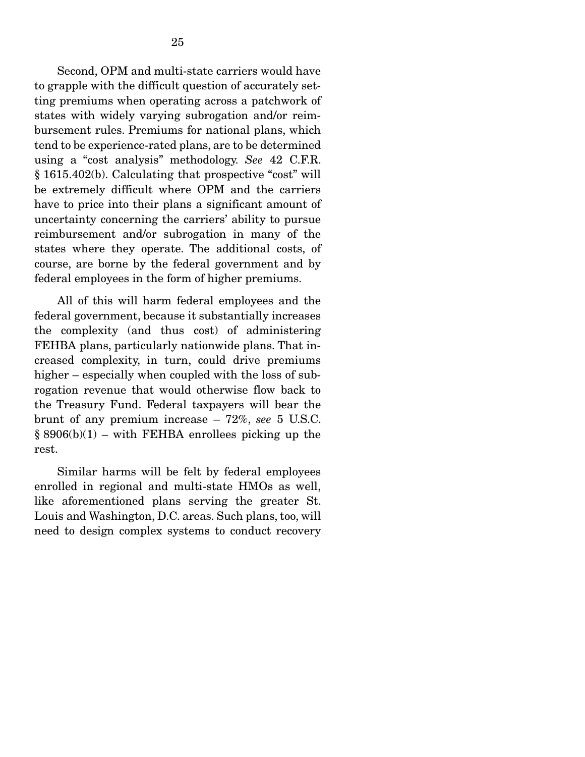Second, OPM and multi-state carriers would have to grapple with the difficult question of accurately setting premiums when operating across a patchwork of states with widely varying subrogation and/or reimbursement rules. Premiums for national plans, which tend to be experience-rated plans, are to be determined using a "cost analysis" methodology. *See* 42 C.F.R. § 1615.402(b). Calculating that prospective "cost" will be extremely difficult where OPM and the carriers have to price into their plans a significant amount of uncertainty concerning the carriers' ability to pursue reimbursement and/or subrogation in many of the states where they operate. The additional costs, of course, are borne by the federal government and by federal employees in the form of higher premiums.

 All of this will harm federal employees and the federal government, because it substantially increases the complexity (and thus cost) of administering FEHBA plans, particularly nationwide plans. That increased complexity, in turn, could drive premiums higher – especially when coupled with the loss of subrogation revenue that would otherwise flow back to the Treasury Fund. Federal taxpayers will bear the brunt of any premium increase – 72%, *see* 5 U.S.C.  $§ 8906(b)(1) - with FEHBA encelles picking up the$ rest.

 Similar harms will be felt by federal employees enrolled in regional and multi-state HMOs as well, like aforementioned plans serving the greater St. Louis and Washington, D.C. areas. Such plans, too, will need to design complex systems to conduct recovery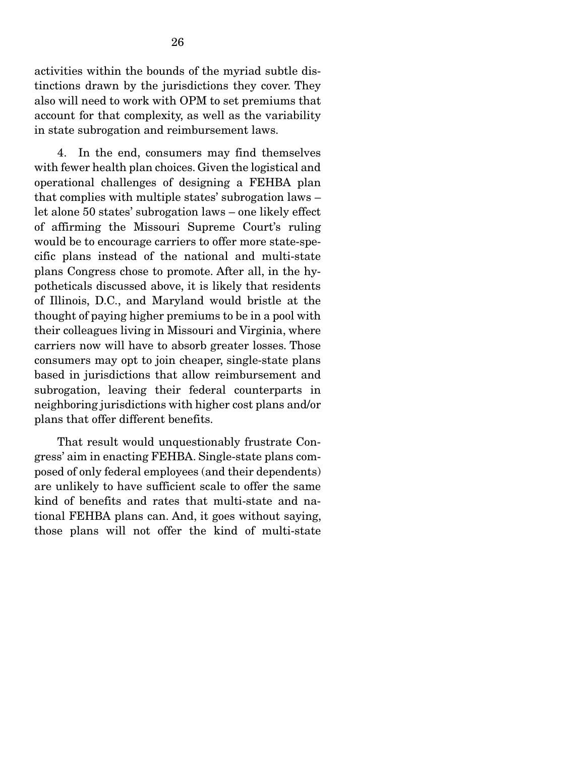activities within the bounds of the myriad subtle distinctions drawn by the jurisdictions they cover. They also will need to work with OPM to set premiums that account for that complexity, as well as the variability in state subrogation and reimbursement laws.

 4. In the end, consumers may find themselves with fewer health plan choices. Given the logistical and operational challenges of designing a FEHBA plan that complies with multiple states' subrogation laws – let alone 50 states' subrogation laws – one likely effect of affirming the Missouri Supreme Court's ruling would be to encourage carriers to offer more state-specific plans instead of the national and multi-state plans Congress chose to promote. After all, in the hypotheticals discussed above, it is likely that residents of Illinois, D.C., and Maryland would bristle at the thought of paying higher premiums to be in a pool with their colleagues living in Missouri and Virginia, where carriers now will have to absorb greater losses. Those consumers may opt to join cheaper, single-state plans based in jurisdictions that allow reimbursement and subrogation, leaving their federal counterparts in neighboring jurisdictions with higher cost plans and/or plans that offer different benefits.

 That result would unquestionably frustrate Congress' aim in enacting FEHBA. Single-state plans composed of only federal employees (and their dependents) are unlikely to have sufficient scale to offer the same kind of benefits and rates that multi-state and national FEHBA plans can. And, it goes without saying, those plans will not offer the kind of multi-state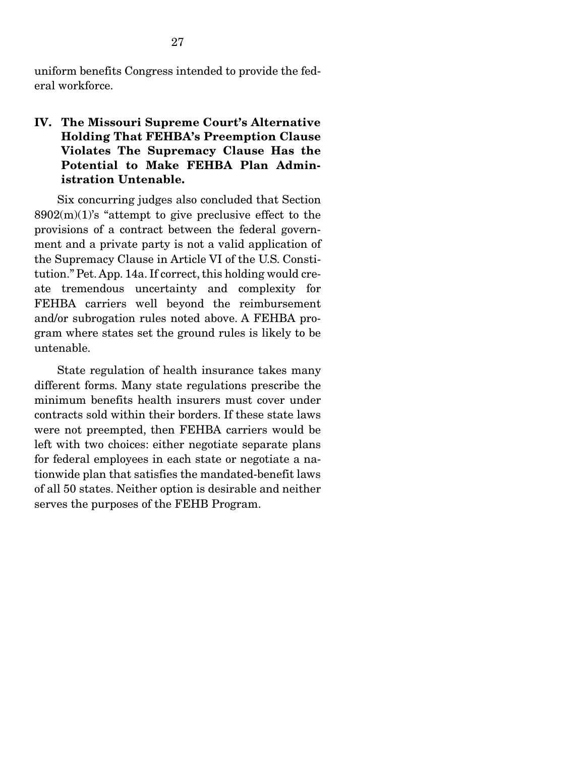uniform benefits Congress intended to provide the federal workforce.

### IV. The Missouri Supreme Court's Alternative Holding That FEHBA's Preemption Clause Violates The Supremacy Clause Has the Potential to Make FEHBA Plan Administration Untenable.

 Six concurring judges also concluded that Section  $8902(m)(1)$ 's "attempt to give preclusive effect to the provisions of a contract between the federal government and a private party is not a valid application of the Supremacy Clause in Article VI of the U.S. Constitution." Pet. App. 14a. If correct, this holding would create tremendous uncertainty and complexity for FEHBA carriers well beyond the reimbursement and/or subrogation rules noted above. A FEHBA program where states set the ground rules is likely to be untenable.

 State regulation of health insurance takes many different forms. Many state regulations prescribe the minimum benefits health insurers must cover under contracts sold within their borders. If these state laws were not preempted, then FEHBA carriers would be left with two choices: either negotiate separate plans for federal employees in each state or negotiate a nationwide plan that satisfies the mandated-benefit laws of all 50 states. Neither option is desirable and neither serves the purposes of the FEHB Program.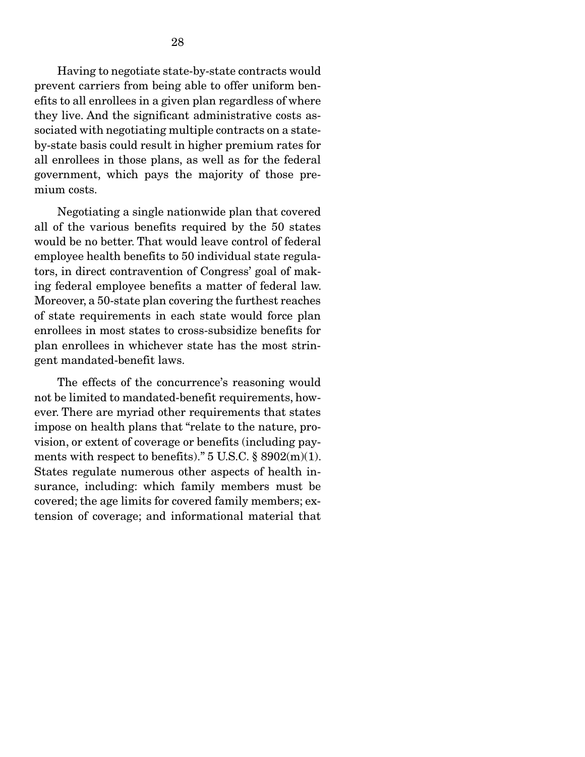Having to negotiate state-by-state contracts would prevent carriers from being able to offer uniform benefits to all enrollees in a given plan regardless of where they live. And the significant administrative costs associated with negotiating multiple contracts on a stateby-state basis could result in higher premium rates for all enrollees in those plans, as well as for the federal government, which pays the majority of those premium costs.

 Negotiating a single nationwide plan that covered all of the various benefits required by the 50 states would be no better. That would leave control of federal employee health benefits to 50 individual state regulators, in direct contravention of Congress' goal of making federal employee benefits a matter of federal law. Moreover, a 50-state plan covering the furthest reaches of state requirements in each state would force plan enrollees in most states to cross-subsidize benefits for plan enrollees in whichever state has the most stringent mandated-benefit laws.

 The effects of the concurrence's reasoning would not be limited to mandated-benefit requirements, however. There are myriad other requirements that states impose on health plans that "relate to the nature, provision, or extent of coverage or benefits (including payments with respect to benefits)."  $5 \text{ U.S.C.} \$   $8902(m)(1)$ . States regulate numerous other aspects of health insurance, including: which family members must be covered; the age limits for covered family members; extension of coverage; and informational material that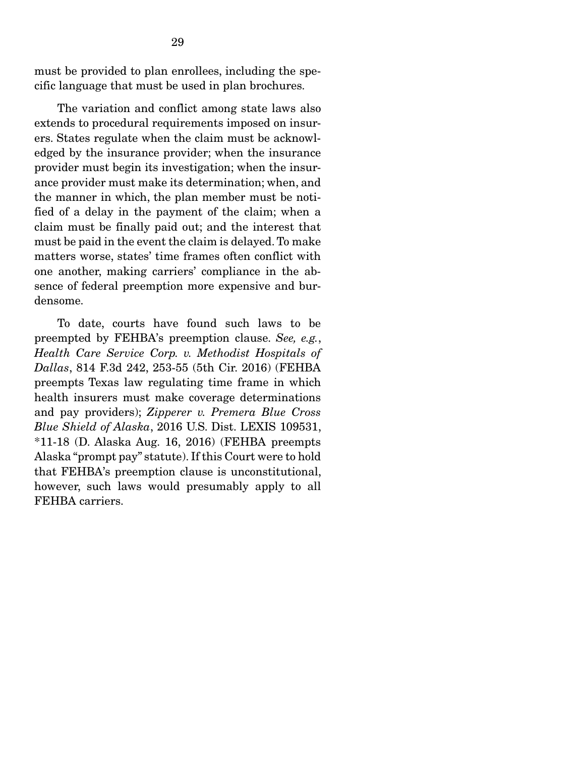must be provided to plan enrollees, including the specific language that must be used in plan brochures.

 The variation and conflict among state laws also extends to procedural requirements imposed on insurers. States regulate when the claim must be acknowledged by the insurance provider; when the insurance provider must begin its investigation; when the insurance provider must make its determination; when, and the manner in which, the plan member must be notified of a delay in the payment of the claim; when a claim must be finally paid out; and the interest that must be paid in the event the claim is delayed. To make matters worse, states' time frames often conflict with one another, making carriers' compliance in the absence of federal preemption more expensive and burdensome.

 To date, courts have found such laws to be preempted by FEHBA's preemption clause. *See, e.g.*, *Health Care Service Corp. v. Methodist Hospitals of Dallas*, 814 F.3d 242, 253-55 (5th Cir. 2016) (FEHBA preempts Texas law regulating time frame in which health insurers must make coverage determinations and pay providers); *Zipperer v. Premera Blue Cross Blue Shield of Alaska*, 2016 U.S. Dist. LEXIS 109531, \*11-18 (D. Alaska Aug. 16, 2016) (FEHBA preempts Alaska "prompt pay" statute). If this Court were to hold that FEHBA's preemption clause is unconstitutional, however, such laws would presumably apply to all FEHBA carriers.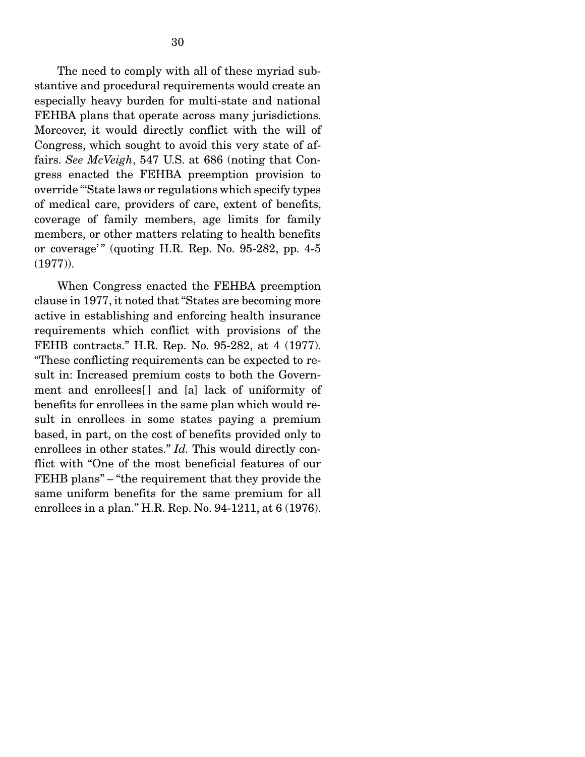The need to comply with all of these myriad substantive and procedural requirements would create an especially heavy burden for multi-state and national FEHBA plans that operate across many jurisdictions. Moreover, it would directly conflict with the will of Congress, which sought to avoid this very state of affairs. *See McVeigh*, 547 U.S. at 686 (noting that Congress enacted the FEHBA preemption provision to override "'State laws or regulations which specify types of medical care, providers of care, extent of benefits, coverage of family members, age limits for family members, or other matters relating to health benefits or coverage'" (quoting H.R. Rep. No.  $95-282$ , pp.  $4-5$ (1977)).

 When Congress enacted the FEHBA preemption clause in 1977, it noted that "States are becoming more active in establishing and enforcing health insurance requirements which conflict with provisions of the FEHB contracts." H.R. Rep. No. 95-282, at 4 (1977). "These conflicting requirements can be expected to result in: Increased premium costs to both the Government and enrollees<sup>[]</sup> and [a] lack of uniformity of benefits for enrollees in the same plan which would result in enrollees in some states paying a premium based, in part, on the cost of benefits provided only to enrollees in other states." *Id.* This would directly conflict with "One of the most beneficial features of our FEHB plans" – "the requirement that they provide the same uniform benefits for the same premium for all enrollees in a plan." H.R. Rep. No. 94-1211, at 6 (1976).